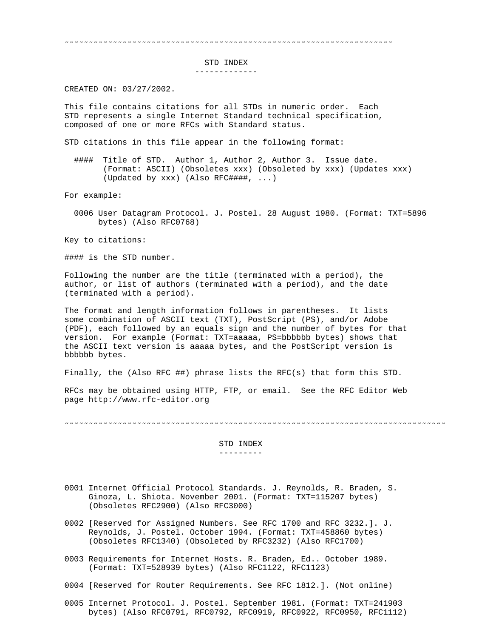˜˜˜˜˜˜˜˜˜˜˜˜˜˜˜˜˜˜˜˜˜˜˜˜˜˜˜˜˜˜˜˜˜˜˜˜˜˜˜˜˜˜˜˜˜˜˜˜˜˜˜˜˜˜˜˜˜˜˜˜˜˜˜˜˜˜˜˜

STD INDEX

-------------

CREATED ON: 03/27/2002.

This file contains citations for all STDs in numeric order. Each STD represents a single Internet Standard technical specification, composed of one or more RFCs with Standard status.

STD citations in this file appear in the following format:

 #### Title of STD. Author 1, Author 2, Author 3. Issue date. (Format: ASCII) (Obsoletes xxx) (Obsoleted by xxx) (Updates xxx) (Updated by xxx) (Also RFC####, ...)

For example:

 0006 User Datagram Protocol. J. Postel. 28 August 1980. (Format: TXT=5896 bytes) (Also RFC0768)

Key to citations:

#### is the STD number.

Following the number are the title (terminated with a period), the author, or list of authors (terminated with a period), and the date (terminated with a period).

The format and length information follows in parentheses. It lists some combination of ASCII text (TXT), PostScript (PS), and/or Adobe (PDF), each followed by an equals sign and the number of bytes for that version. For example (Format: TXT=aaaaa, PS=bbbbbb bytes) shows that the ASCII text version is aaaaa bytes, and the PostScript version is bbbbbb bytes.

Finally, the (Also RFC ##) phrase lists the RFC(s) that form this STD.

RFCs may be obtained using HTTP, FTP, or email. See the RFC Editor Web page http://www.rfc-editor.org

˜˜˜˜˜˜˜˜˜˜˜˜˜˜˜˜˜˜˜˜˜˜˜˜˜˜˜˜˜˜˜˜˜˜˜˜˜˜˜˜˜˜˜˜˜˜˜˜˜˜˜˜˜˜˜˜˜˜˜˜˜˜˜˜˜˜˜˜˜˜˜˜˜˜˜˜˜˜˜

 STD INDEX ---------

- 0001 Internet Official Protocol Standards. J. Reynolds, R. Braden, S. Ginoza, L. Shiota. November 2001. (Format: TXT=115207 bytes) (Obsoletes RFC2900) (Also RFC3000)
- 0002 [Reserved for Assigned Numbers. See RFC 1700 and RFC 3232.]. J. Reynolds, J. Postel. October 1994. (Format: TXT=458860 bytes) (Obsoletes RFC1340) (Obsoleted by RFC3232) (Also RFC1700)
- 0003 Requirements for Internet Hosts. R. Braden, Ed.. October 1989. (Format: TXT=528939 bytes) (Also RFC1122, RFC1123)
- 0004 [Reserved for Router Requirements. See RFC 1812.]. (Not online)
- 0005 Internet Protocol. J. Postel. September 1981. (Format: TXT=241903 bytes) (Also RFC0791, RFC0792, RFC0919, RFC0922, RFC0950, RFC1112)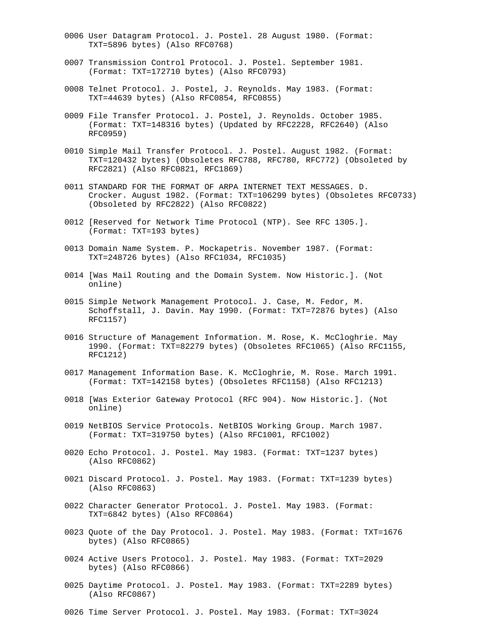- 0006 User Datagram Protocol. J. Postel. 28 August 1980. (Format: TXT=5896 bytes) (Also RFC0768)
- 0007 Transmission Control Protocol. J. Postel. September 1981. (Format: TXT=172710 bytes) (Also RFC0793)
- 0008 Telnet Protocol. J. Postel, J. Reynolds. May 1983. (Format: TXT=44639 bytes) (Also RFC0854, RFC0855)
- 0009 File Transfer Protocol. J. Postel, J. Reynolds. October 1985. (Format: TXT=148316 bytes) (Updated by RFC2228, RFC2640) (Also RFC0959)
- 0010 Simple Mail Transfer Protocol. J. Postel. August 1982. (Format: TXT=120432 bytes) (Obsoletes RFC788, RFC780, RFC772) (Obsoleted by RFC2821) (Also RFC0821, RFC1869)
- 0011 STANDARD FOR THE FORMAT OF ARPA INTERNET TEXT MESSAGES. D. Crocker. August 1982. (Format: TXT=106299 bytes) (Obsoletes RFC0733) (Obsoleted by RFC2822) (Also RFC0822)
- 0012 [Reserved for Network Time Protocol (NTP). See RFC 1305.]. (Format: TXT=193 bytes)
- 0013 Domain Name System. P. Mockapetris. November 1987. (Format: TXT=248726 bytes) (Also RFC1034, RFC1035)
- 0014 [Was Mail Routing and the Domain System. Now Historic.]. (Not online)
- 0015 Simple Network Management Protocol. J. Case, M. Fedor, M. Schoffstall, J. Davin. May 1990. (Format: TXT=72876 bytes) (Also RFC1157)
- 0016 Structure of Management Information. M. Rose, K. McCloghrie. May 1990. (Format: TXT=82279 bytes) (Obsoletes RFC1065) (Also RFC1155, RFC1212)
- 0017 Management Information Base. K. McCloghrie, M. Rose. March 1991. (Format: TXT=142158 bytes) (Obsoletes RFC1158) (Also RFC1213)
- 0018 [Was Exterior Gateway Protocol (RFC 904). Now Historic.]. (Not online)
- 0019 NetBIOS Service Protocols. NetBIOS Working Group. March 1987. (Format: TXT=319750 bytes) (Also RFC1001, RFC1002)
- 0020 Echo Protocol. J. Postel. May 1983. (Format: TXT=1237 bytes) (Also RFC0862)
- 0021 Discard Protocol. J. Postel. May 1983. (Format: TXT=1239 bytes) (Also RFC0863)
- 0022 Character Generator Protocol. J. Postel. May 1983. (Format: TXT=6842 bytes) (Also RFC0864)
- 0023 Quote of the Day Protocol. J. Postel. May 1983. (Format: TXT=1676 bytes) (Also RFC0865)
- 0024 Active Users Protocol. J. Postel. May 1983. (Format: TXT=2029 bytes) (Also RFC0866)
- 0025 Daytime Protocol. J. Postel. May 1983. (Format: TXT=2289 bytes) (Also RFC0867)
- 0026 Time Server Protocol. J. Postel. May 1983. (Format: TXT=3024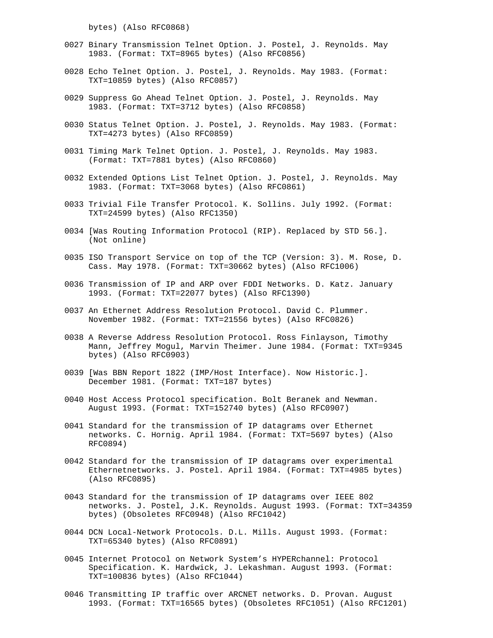bytes) (Also RFC0868)

- 0027 Binary Transmission Telnet Option. J. Postel, J. Reynolds. May 1983. (Format: TXT=8965 bytes) (Also RFC0856)
- 0028 Echo Telnet Option. J. Postel, J. Reynolds. May 1983. (Format: TXT=10859 bytes) (Also RFC0857)
- 0029 Suppress Go Ahead Telnet Option. J. Postel, J. Reynolds. May 1983. (Format: TXT=3712 bytes) (Also RFC0858)
- 0030 Status Telnet Option. J. Postel, J. Reynolds. May 1983. (Format: TXT=4273 bytes) (Also RFC0859)
- 0031 Timing Mark Telnet Option. J. Postel, J. Reynolds. May 1983. (Format: TXT=7881 bytes) (Also RFC0860)
- 0032 Extended Options List Telnet Option. J. Postel, J. Reynolds. May 1983. (Format: TXT=3068 bytes) (Also RFC0861)
- 0033 Trivial File Transfer Protocol. K. Sollins. July 1992. (Format: TXT=24599 bytes) (Also RFC1350)
- 0034 [Was Routing Information Protocol (RIP). Replaced by STD 56.]. (Not online)
- 0035 ISO Transport Service on top of the TCP (Version: 3). M. Rose, D. Cass. May 1978. (Format: TXT=30662 bytes) (Also RFC1006)
- 0036 Transmission of IP and ARP over FDDI Networks. D. Katz. January 1993. (Format: TXT=22077 bytes) (Also RFC1390)
- 0037 An Ethernet Address Resolution Protocol. David C. Plummer. November 1982. (Format: TXT=21556 bytes) (Also RFC0826)
- 0038 A Reverse Address Resolution Protocol. Ross Finlayson, Timothy Mann, Jeffrey Mogul, Marvin Theimer. June 1984. (Format: TXT=9345 bytes) (Also RFC0903)
- 0039 [Was BBN Report 1822 (IMP/Host Interface). Now Historic.]. December 1981. (Format: TXT=187 bytes)
- 0040 Host Access Protocol specification. Bolt Beranek and Newman. August 1993. (Format: TXT=152740 bytes) (Also RFC0907)
- 0041 Standard for the transmission of IP datagrams over Ethernet networks. C. Hornig. April 1984. (Format: TXT=5697 bytes) (Also RFC0894)
- 0042 Standard for the transmission of IP datagrams over experimental Ethernetnetworks. J. Postel. April 1984. (Format: TXT=4985 bytes) (Also RFC0895)
- 0043 Standard for the transmission of IP datagrams over IEEE 802 networks. J. Postel, J.K. Reynolds. August 1993. (Format: TXT=34359 bytes) (Obsoletes RFC0948) (Also RFC1042)
- 0044 DCN Local-Network Protocols. D.L. Mills. August 1993. (Format: TXT=65340 bytes) (Also RFC0891)
- 0045 Internet Protocol on Network System's HYPERchannel: Protocol Specification. K. Hardwick, J. Lekashman. August 1993. (Format: TXT=100836 bytes) (Also RFC1044)
- 0046 Transmitting IP traffic over ARCNET networks. D. Provan. August 1993. (Format: TXT=16565 bytes) (Obsoletes RFC1051) (Also RFC1201)